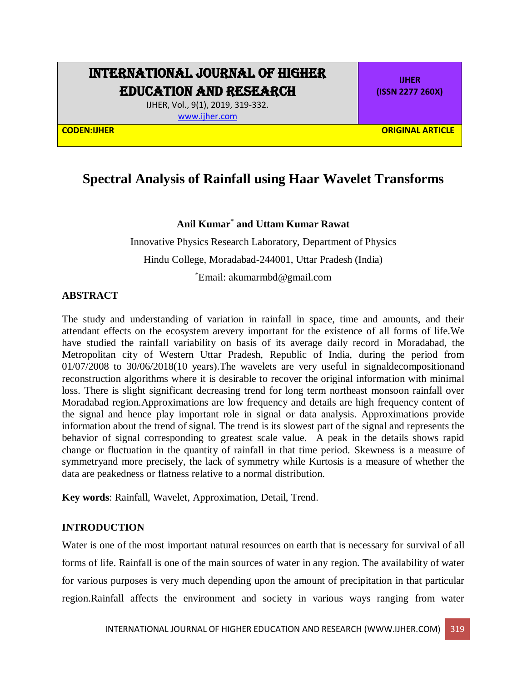# INTERNATIONAL JOURNAL OF HIGHER EDUCATION AND RESEARCH

IJHER, Vol., 9(1), 2019, 319-332. [www.ijher.com](http://www.ijher.com/)

**IJHER (ISSN 2277 260X)**

**CODEN:IJHER ORIGINAL ARTICLE** 

# **Spectral Analysis of Rainfall using Haar Wavelet Transforms**

## **Anil Kumar\* and Uttam Kumar Rawat**

Innovative Physics Research Laboratory, Department of Physics Hindu College, Moradabad-244001, Uttar Pradesh (India)

\*Email: akumarmbd@gmail.com

## **ABSTRACT**

The study and understanding of variation in rainfall in space, time and amounts, and their attendant effects on the ecosystem arevery important for the existence of all forms of life.We have studied the rainfall variability on basis of its average daily record in Moradabad, the Metropolitan city of Western Uttar Pradesh, Republic of India, during the period from 01/07/2008 to 30/06/2018(10 years).The wavelets are very useful in [signald](https://en.wikipedia.org/wiki/Wavelet_compression)ecompositionand reconstruction algorithms where it is desirable to recover the original information with minimal loss. There is slight significant decreasing trend for long term northeast monsoon rainfall over Moradabad region.Approximations are low frequency and details are high frequency content of the signal and hence play important role in signal or data analysis. Approximations provide information about the trend of signal. The trend is its slowest part of the signal and represents the behavior of signal corresponding to greatest scale value. A peak in the details shows rapid change or fluctuation in the quantity of rainfall in that time period. Skewness is a measure of symmetryand more precisely, the lack of symmetry while Kurtosis is a measure of whether the data are peakedness or flatness relative to a normal distribution.

**Key words**: Rainfall, Wavelet, Approximation, Detail, Trend.

### **INTRODUCTION**

Water is one of the most important natural resources on earth that is necessary for survival of all forms of life. Rainfall is one of the main sources of water in any region. The availability of water for various purposes is very much depending upon the amount of precipitation in that particular region.Rainfall affects the environment and society in various ways ranging from water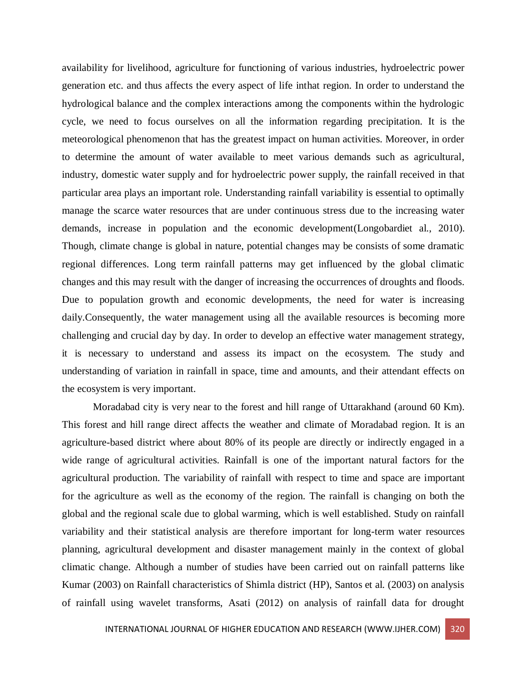availability for livelihood, agriculture for functioning of various industries, hydroelectric power generation etc. and thus affects the every aspect of life inthat region. In order to understand the hydrological balance and the complex interactions among the components within the hydrologic cycle, we need to focus ourselves on all the information regarding precipitation. It is the meteorological phenomenon that has the greatest impact on human activities. Moreover, in order to determine the amount of water available to meet various demands such as agricultural, industry, domestic water supply and for hydroelectric power supply, the rainfall received in that particular area plays an important role. Understanding rainfall variability is essential to optimally manage the scarce water resources that are under continuous stress due to the increasing water demands, increase in population and the economic development(Longobardiet al., 2010). Though, climate change is global in nature, potential changes may be consists of some dramatic regional differences. Long term rainfall patterns may get influenced by the global climatic changes and this may result with the danger of increasing the occurrences of droughts and floods. Due to population growth and economic developments, the need for water is increasing daily.Consequently, the water management using all the available resources is becoming more challenging and crucial day by day. In order to develop an effective water management strategy, it is necessary to understand and assess its impact on the ecosystem. The study and understanding of variation in rainfall in space, time and amounts, and their attendant effects on the ecosystem is very important.

Moradabad city is very near to the forest and hill range of Uttarakhand (around 60 Km). This forest and hill range direct affects the weather and climate of Moradabad region. It is an agriculture-based district where about 80% of its people are directly or indirectly engaged in a wide range of agricultural activities. Rainfall is one of the important natural factors for the agricultural production. The variability of rainfall with respect to time and space are important for the agriculture as well as the economy of the region. The rainfall is changing on both the global and the regional scale due to global warming, which is well established. Study on rainfall variability and their statistical analysis are therefore important for long-term water resources planning, agricultural development and disaster management mainly in the context of global climatic change. Although a number of studies have been carried out on rainfall patterns like Kumar (2003) on Rainfall characteristics of Shimla district (HP), Santos et al. (2003) on analysis of rainfall using wavelet transforms, Asati (2012) on analysis of rainfall data for drought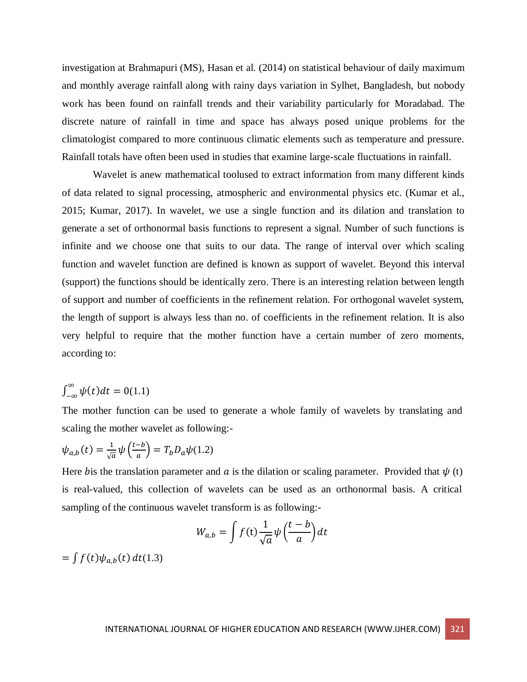investigation at Brahmapuri (MS), Hasan et al. (2014) on statistical behaviour of daily maximum and monthly average rainfall along with rainy days variation in Sylhet, Bangladesh, but nobody work has been found on rainfall trends and their variability particularly for Moradabad. The discrete nature of rainfall in time and space has always posed unique problems for the climatologist compared to more continuous climatic elements such as temperature and pressure. Rainfall totals have often been used in studies that examine large-scale fluctuations in rainfall.

Wavelet is anew mathematical toolused to extract information from many different kinds of data related to signal processing, atmospheric and environmental physics etc. (Kumar et al., 2015; Kumar, 2017). In wavelet, we use a single function and its dilation and translation to generate a set of orthonormal basis functions to represent a signal. Number of such functions is infinite and we choose one that suits to our data. The range of interval over which scaling function and wavelet function are defined is known as support of wavelet. Beyond this interval (support) the functions should be identically zero. There is an interesting relation between length of support and number of coefficients in the refinement relation. For orthogonal wavelet system, the length of support is always less than no. of coefficients in the refinement relation. It is also very helpful to require that the mother function have a certain number of zero moments, according to:

$$
\int_{-\infty}^{\infty} \psi(t) dt = 0(1.1)
$$

The mother function can be used to generate a whole family of wavelets by translating and scaling the mother wavelet as following:-

$$
\psi_{a,b}(t) = \frac{1}{\sqrt{a}} \psi\left(\frac{t-b}{a}\right) = T_b D_a \psi(1.2)
$$

Here bis the translation parameter and a is the dilation or scaling parameter. Provided that  $\psi$  (t) is real-valued, this collection of wavelets can be used as an orthonormal basis. A critical sampling of the continuous wavelet transform is as following:-

$$
W_{a,b} = \int f(t) \frac{1}{\sqrt{a}} \psi\left(\frac{t-b}{a}\right) dt
$$

 $=\int f(t)\psi_{a,b}(t) dt$ (1.3)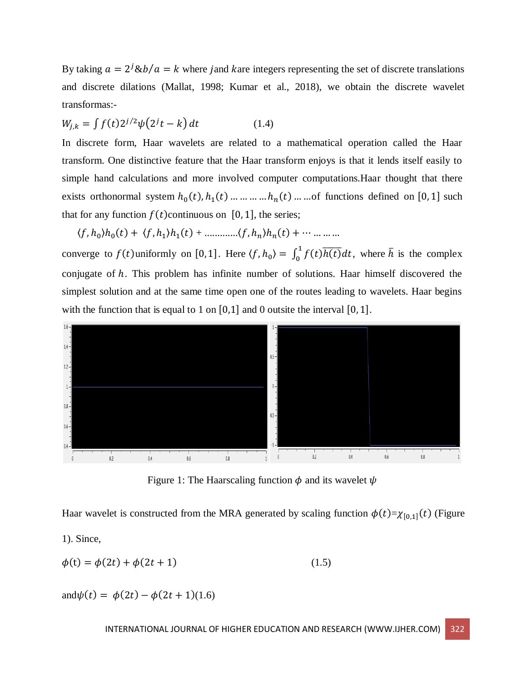By taking  $a = 2^{j} \& b/a = k$  where jand kare integers representing the set of discrete translations and discrete dilations (Mallat, 1998; Kumar et al., 2018), we obtain the discrete wavelet transformas:-

$$
W_{j,k} = \int f(t) 2^{j/2} \psi(2^{j}t - k) dt
$$
 (1.4)

In discrete form, Haar wavelets are related to a mathematical operation called the Haar transform. One distinctive feature that the Haar transform enjoys is that it lends itself easily to simple hand calculations and more involved computer computations.Haar thought that there exists orthonormal system  $h_0(t)$ ,  $h_1(t)$  ... ... ... ...  $h_n(t)$  ... ... of functions defined on [0, 1] such that for any function  $f(t)$  continuous on [0, 1], the series;

 $\langle f, h_0 \rangle h_0(t) + \langle f, h_1 \rangle h_1(t) + \dots + \langle f, h_n \rangle h_n(t) + \dots + \dots$ 

converge to  $f(t)$ uniformly on [0,1]. Here  $\langle f, h_0 \rangle = \int_0^1 f(t) \overline{h(t)} dt$ , where  $\overline{h}$  is the complex conjugate of ℎ. This problem has infinite number of solutions. Haar himself discovered the simplest solution and at the same time open one of the routes leading to wavelets. Haar begins with the function that is equal to 1 on  $[0,1]$  and 0 outsite the interval  $[0,1]$ .



Figure 1: The Haarscaling function  $\phi$  and its wavelet  $\psi$ 

Haar wavelet is constructed from the MRA generated by scaling function  $\phi(t)=\chi_{[0,1]}(t)$  (Figure

1). Since,

$$
\phi(t) = \phi(2t) + \phi(2t + 1)
$$
\n(1.5)

and $\psi(t) = \phi(2t) - \phi(2t + 1)(1.6)$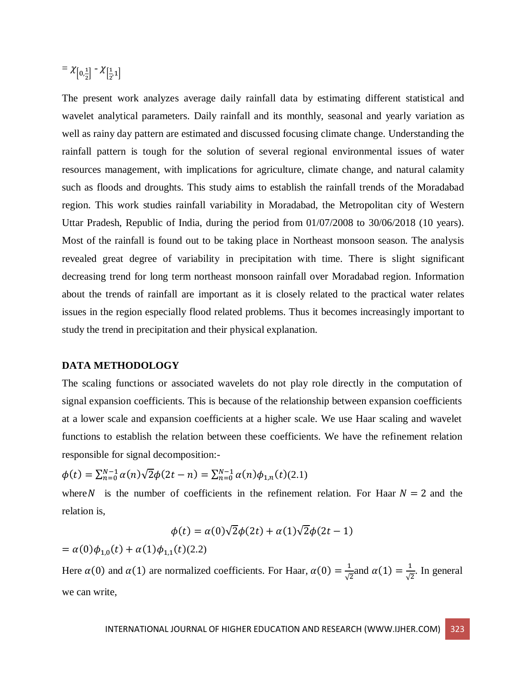#### $= \chi_{0,\frac{1}{2}}$  $\frac{1}{2}$  -  $\chi$   $\left[\frac{1}{2}\right]$  $\frac{1}{2}$ <sup>1</sup>]

The present work analyzes average daily rainfall data by estimating different statistical and wavelet analytical parameters. Daily rainfall and its monthly, seasonal and yearly variation as well as rainy day pattern are estimated and discussed focusing climate change. Understanding the rainfall pattern is tough for the solution of several regional environmental issues of water resources management, with implications for agriculture, climate change, and natural calamity such as floods and droughts. This study aims to establish the rainfall trends of the Moradabad region. This work studies rainfall variability in Moradabad, the Metropolitan city of Western Uttar Pradesh, Republic of India, during the period from 01/07/2008 to 30/06/2018 (10 years). Most of the rainfall is found out to be taking place in Northeast monsoon season. The analysis revealed great degree of variability in precipitation with time. There is slight significant decreasing trend for long term northeast monsoon rainfall over Moradabad region. Information about the trends of rainfall are important as it is closely related to the practical water relates issues in the region especially flood related problems. Thus it becomes increasingly important to study the trend in precipitation and their physical explanation.

### **DATA METHODOLOGY**

The scaling functions or associated wavelets do not play role directly in the computation of signal expansion coefficients. This is because of the relationship between expansion coefficients at a lower scale and expansion coefficients at a higher scale. We use Haar scaling and wavelet functions to establish the relation between these coefficients. We have the refinement relation responsible for signal decomposition:-

$$
\phi(t) = \sum_{n=0}^{N-1} \alpha(n) \sqrt{2} \phi(2t - n) = \sum_{n=0}^{N-1} \alpha(n) \phi_{1,n}(t) (2.1)
$$

where N is the number of coefficients in the refinement relation. For Haar  $N = 2$  and the relation is,

$$
\phi(t) = \alpha(0)\sqrt{2}\phi(2t) + \alpha(1)\sqrt{2}\phi(2t-1)
$$

=  $\alpha(0)\phi_{1,0}(t) + \alpha(1)\phi_{1,1}(t)$ (2.2)

Here  $\alpha(0)$  and  $\alpha(1)$  are normalized coefficients. For Haar,  $\alpha(0) = \frac{1}{\epsilon}$  $\frac{1}{\sqrt{2}}$  and  $\alpha(1) = \frac{1}{\sqrt{2}}$  $\frac{1}{\sqrt{2}}$ . In general we can write,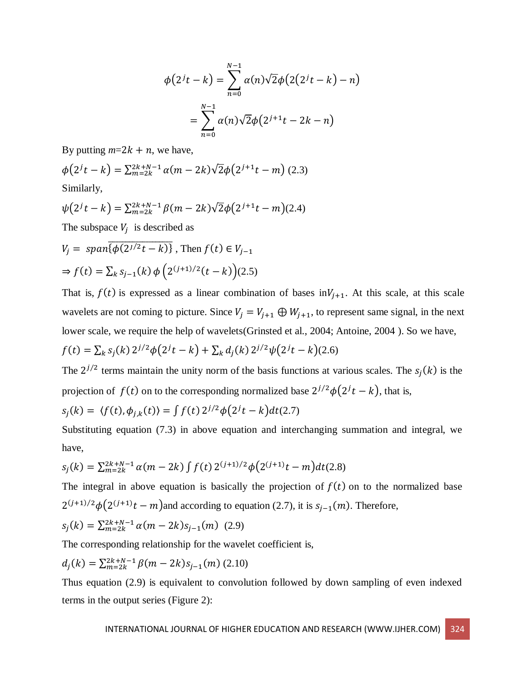$$
\phi(2^{j}t - k) = \sum_{n=0}^{N-1} \alpha(n)\sqrt{2}\phi(2(2^{j}t - k) - n)
$$

$$
= \sum_{n=0}^{N-1} \alpha(n)\sqrt{2}\phi(2^{j+1}t - 2k - n)
$$

By putting  $m=2k + n$ , we have,

$$
\phi(2^{j}t - k) = \sum_{m=2k}^{2k+N-1} \alpha(m - 2k) \sqrt{2} \phi(2^{j+1}t - m) \tag{2.3}
$$
  
Similarly,

$$
\psi(2^{j}t - k) = \sum_{m=2k}^{2k+N-1} \beta(m - 2k)\sqrt{2}\phi(2^{j+1}t - m)(2.4)
$$
  
The subspace  $V_j$  is described as

$$
V_j = \text{span}\{\overline{\phi(2^{j/2}t - k)}\}, \text{ Then } f(t) \in V_{j-1}
$$
  
\n
$$
\Rightarrow f(t) = \sum_k s_{j-1}(k) \phi\left(2^{(j+1)/2}(t - k)\right)(2.5)
$$

That is,  $f(t)$  is expressed as a linear combination of bases in $V_{j+1}$ . At this scale, at this scale wavelets are not coming to picture. Since  $V_j = V_{j+1} \oplus W_{j+1}$ , to represent same signal, in the next lower scale, we require the help of wavelets(Grinsted et al., 2004; Antoine, 2004 ). So we have,

$$
f(t) = \sum_{k} s_j(k) 2^{j/2} \phi(2^{j}t - k) + \sum_{k} d_j(k) 2^{j/2} \psi(2^{j}t - k) (2.6)
$$

The  $2^{j/2}$  terms maintain the unity norm of the basis functions at various scales. The  $s_j(k)$  is the projection of  $f(t)$  on to the corresponding normalized base  $2^{j/2}\phi(2^{j}t-k)$ , that is,

$$
s_j(k) = \langle f(t), \phi_{j,k}(t) \rangle = \int f(t) \, 2^{j/2} \phi(2^j t - k) dt(2.7)
$$

Substituting equation (7.3) in above equation and interchanging summation and integral, we have,

$$
s_j(k) = \sum_{m=2k}^{2k+N-1} \alpha(m-2k) \int f(t) \, 2^{(j+1)/2} \phi(2^{(j+1)}t-m) dt(2.8)
$$

The integral in above equation is basically the projection of  $f(t)$  on to the normalized base  $2^{(j+1)/2}\phi(2^{(j+1)}t-m)$  and according to equation (2.7), it is  $s_{j-1}(m)$ . Therefore,

$$
s_j(k) = \sum_{m=2k}^{2k+N-1} \alpha(m-2k)s_{j-1}(m) \tag{2.9}
$$

The corresponding relationship for the wavelet coefficient is,

$$
d_j(k) = \sum_{m=2k}^{2k+N-1} \beta(m-2k) s_{j-1}(m) (2.10)
$$

Thus equation (2.9) is equivalent to convolution followed by down sampling of even indexed terms in the output series (Figure 2):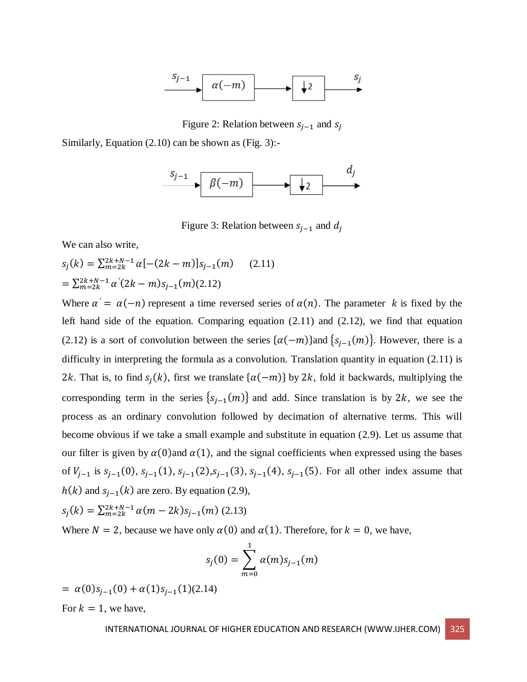

Figure 2: Relation between  $s_{i-1}$  and  $s_i$ 

Similarly, Equation (2.10) can be shown as (Fig. 3):-



Figure 3: Relation between  $s_{i-1}$  and  $d_i$ 

We can also write,

 $s_j(k) = \sum_{m=2k}^{2k+N-1} \alpha [-(2k-m)] s_{j-1}(m)$  (2.11)  $=\sum_{m=2k}^{2k+N-1} \alpha'(2k-m)s_{j-1}(m)(2.12)$ 

Where  $\alpha' = \alpha(-n)$  represent a time reversed series of  $\alpha(n)$ . The parameter k is fixed by the left hand side of the equation. Comparing equation (2.11) and (2.12), we find that equation (2.12) is a sort of convolution between the series  $\{\alpha(-m)\}$  and  $\{s_{j-1}(m)\}$ . However, there is a difficulty in interpreting the formula as a convolution. Translation quantity in equation (2.11) is 2k. That is, to find  $s_j(k)$ , first we translate  $\{\alpha(-m)\}\$  by 2k, fold it backwards, multiplying the corresponding term in the series  $\{s_{j-1}(m)\}\$  and add. Since translation is by 2k, we see the process as an ordinary convolution followed by decimation of alternative terms. This will become obvious if we take a small example and substitute in equation (2.9). Let us assume that our filter is given by  $\alpha(0)$  and  $\alpha(1)$ , and the signal coefficients when expressed using the bases of  $V_{j-1}$  is  $s_{j-1}(0)$ ,  $s_{j-1}(1)$ ,  $s_{j-1}(2)$ ,  $s_{j-1}(3)$ ,  $s_{j-1}(4)$ ,  $s_{j-1}(5)$ . For all other index assume that  $h(k)$  and  $s_{j-1}(k)$  are zero. By equation (2.9),

$$
s_j(k) = \sum_{m=2k}^{2k+N-1} \alpha(m-2k)s_{j-1}(m) \tag{2.13}
$$

Where  $N = 2$ , because we have only  $\alpha(0)$  and  $\alpha(1)$ . Therefore, for  $k = 0$ , we have,

$$
s_j(0) = \sum_{m=0}^{1} \alpha(m) s_{j-1}(m)
$$

 $= \alpha(0)s_{j-1}(0) + \alpha(1)s_{j-1}(1)(2.14)$ For  $k = 1$ , we have,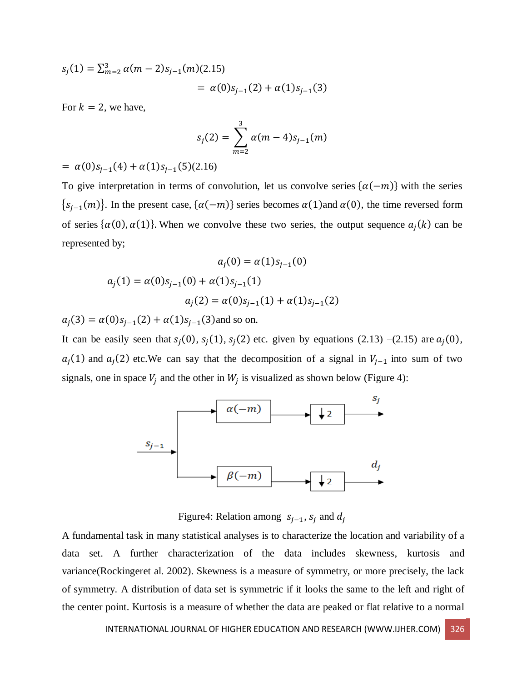$$
s_j(1) = \sum_{m=2}^3 \alpha(m-2)s_{j-1}(m)(2.15)
$$
  
=  $\alpha(0)s_{j-1}(2) + \alpha(1)s_{j-1}(3)$ 

For  $k = 2$ , we have,

$$
s_j(2) = \sum_{m=2}^3 \alpha(m-4)s_{j-1}(m)
$$

 $= \alpha(0)s_{j-1}(4) + \alpha(1)s_{j-1}(5)(2.16)$ 

To give interpretation in terms of convolution, let us convolve series  $\{\alpha(-m)\}\$  with the series  ${s<sub>j-1</sub>(m)}$ . In the present case, { $\alpha(-m)$ } series becomes  $\alpha(1)$  and  $\alpha(0)$ , the time reversed form of series  $\{\alpha(0), \alpha(1)\}\)$ . When we convolve these two series, the output sequence  $a_j(k)$  can be represented by;

$$
a_j(0) = \alpha(1)s_{j-1}(0)
$$
  

$$
a_j(1) = \alpha(0)s_{j-1}(0) + \alpha(1)s_{j-1}(1)
$$
  

$$
a_j(2) = \alpha(0)s_{j-1}(1) + \alpha(1)s_{j-1}(2)
$$

 $a_j(3) = \alpha(0)s_{j-1}(2) + \alpha(1)s_{j-1}(3)$  and so on.

It can be easily seen that  $s_j(0)$ ,  $s_j(1)$ ,  $s_j(2)$  etc. given by equations (2.13) –(2.15) are  $a_j(0)$ ,  $a_j(1)$  and  $a_j(2)$  etc.We can say that the decomposition of a signal in  $V_{j-1}$  into sum of two signals, one in space  $V_j$  and the other in  $W_j$  is visualized as shown below (Figure 4):



Figure4: Relation among  $s_{i-1}$ ,  $s_i$  and  $d_i$ 

A fundamental task in many statistical analyses is to characterize the location and variability of a data set. A further characterization of the data includes skewness, kurtosis and variance(Rockingeret al. 2002). Skewness is a measure of symmetry, or more precisely, the lack of symmetry. A distribution of data set is symmetric if it looks the same to the left and right of the center point. Kurtosis is a measure of whether the data are peaked or flat relative to a normal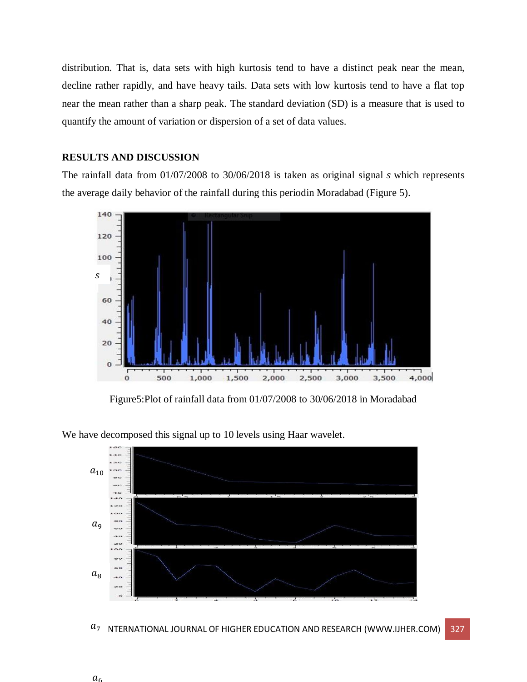distribution. That is, data sets with high kurtosis tend to have a distinct peak near the mean, decline rather rapidly, and have heavy tails. Data sets with low kurtosis tend to have a flat top near the mean rather than a sharp peak. The standard deviation (SD) is a measure that is used to quantify the amount of variation or [dispersion](https://en.wikipedia.org/wiki/Statistical_dispersion) of a set of data values.

# **RESULTS AND DISCUSSION**

The rainfall data from  $01/07/2008$  to  $30/06/2018$  is taken as original signal  $s$  which represents the average daily behavior of the rainfall during this periodin Moradabad (Figure 5).



Figure5:Plot of rainfall data from 01/07/2008 to 30/06/2018 in Moradabad

We have decomposed this signal up to 10 levels using Haar wavelet.



 $a_7$   $\,$  NTERNATIONAL JOURNAL OF HIGHER EDUCATION AND RESEARCH (WWW.IJHER.COM)  $\,$  327  $\,$ 

 $a_{\epsilon}$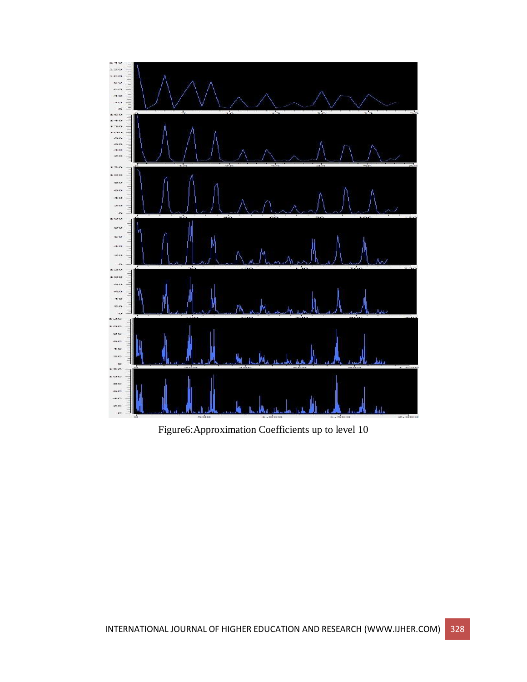

Figure6:Approximation Coefficients up to level 10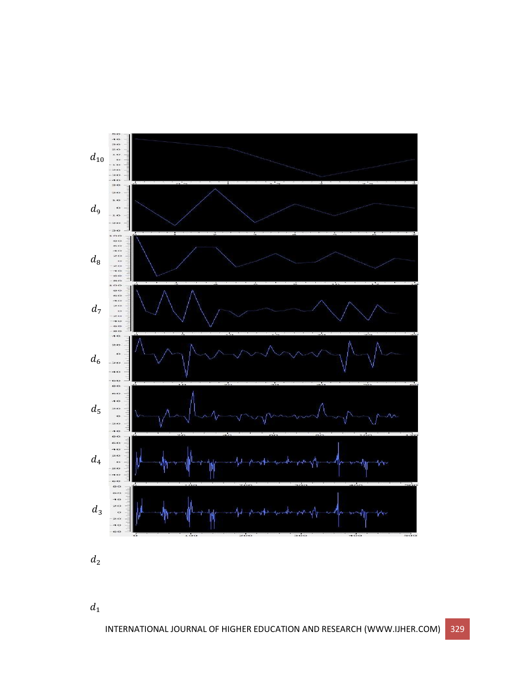

 $d_{\rm 2}$ 

 $\boldsymbol{d}_1$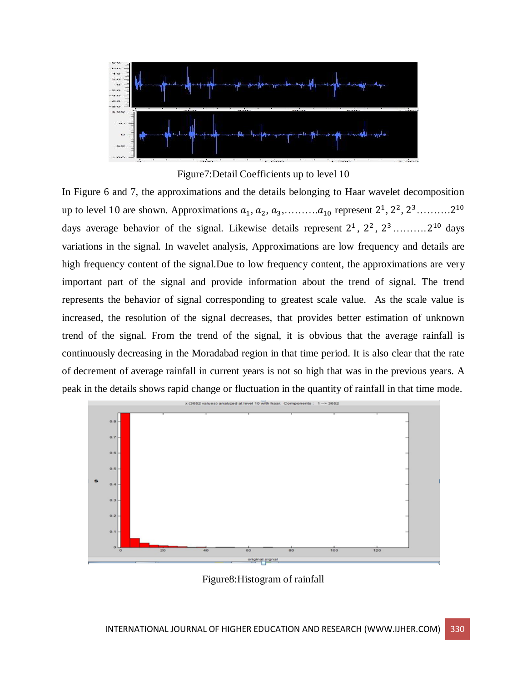

Figure7:Detail Coefficients up to level 10

In Figure 6 and 7, the approximations and the details belonging to Haar wavelet decomposition up to level 10 are shown. Approximations  $a_1, a_2, a_3, \ldots, a_{10}$  represent  $2^1, 2^2, 2^3, \ldots, 2^{10}$ days average behavior of the signal. Likewise details represent  $2^1$ ,  $2^2$ ,  $2^3$ ..........  $2^{10}$  days variations in the signal. In wavelet analysis, Approximations are low frequency and details are high frequency content of the signal.Due to low frequency content, the approximations are very important part of the signal and provide information about the trend of signal. The trend represents the behavior of signal corresponding to greatest scale value. As the scale value is increased, the resolution of the signal decreases, that provides better estimation of unknown trend of the signal. From the trend of the signal, it is obvious that the average rainfall is continuously decreasing in the Moradabad region in that time period. It is also clear that the rate of decrement of average rainfall in current years is not so high that was in the previous years. A peak in the details shows rapid change or fluctuation in the quantity of rainfall in that time mode.



Figure8:Histogram of rainfall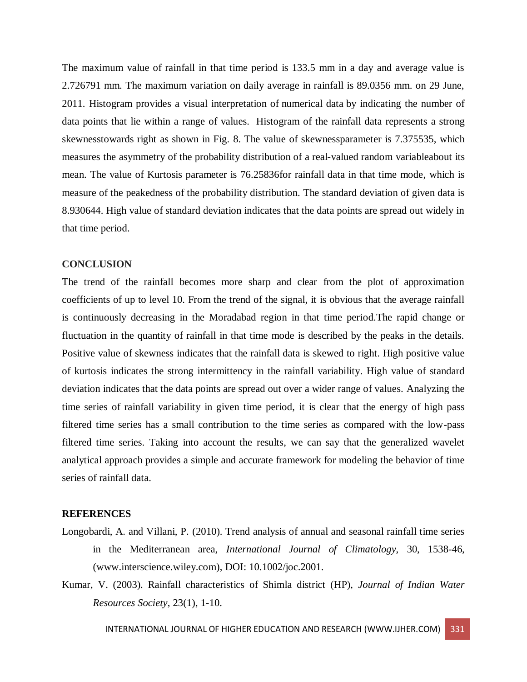The maximum value of rainfall in that time period is 133.5 mm in a day and average value is 2.726791 mm. The maximum variation on daily average in rainfall is 89.0356 mm. on 29 June, 2011. Histogram provides a visual interpretation of [numerical data](https://www.thoughtco.com/definition-of-quantitative-data-3126331) by indicating the number of data points that lie within a range of values. Histogram of the rainfall data represents a strong skewnesstowards right as shown in Fig. 8. The value of skewnessparameter is 7.375535, which measures the asymmetry of the [probability distribution](https://en.wikipedia.org/wiki/Probability_distribution) of a [real-](https://en.wikipedia.org/wiki/Real_number)valued [random variablea](https://en.wikipedia.org/wiki/Random_variable)bout its mean. The value of Kurtosis parameter is 76.25836for rainfall data in that time mode, which is measure of the peakedness of the probability distribution. The standard deviation of given data is 8.930644. High value of standard deviation indicates that the data points are spread out widely in that time period.

### **CONCLUSION**

The trend of the rainfall becomes more sharp and clear from the plot of approximation coefficients of up to level 10. From the trend of the signal, it is obvious that the average rainfall is continuously decreasing in the Moradabad region in that time period.The rapid change or fluctuation in the quantity of rainfall in that time mode is described by the peaks in the details. Positive value of skewness indicates that the rainfall data is skewed to right. High positive value of kurtosis indicates the strong intermittency in the rainfall variability. High value of standard deviation indicates that the data points are spread out over a wider range of values. Analyzing the time series of rainfall variability in given time period, it is clear that the energy of high pass filtered time series has a small contribution to the time series as compared with the low-pass filtered time series. Taking into account the results, we can say that the generalized wavelet analytical approach provides a simple and accurate framework for modeling the behavior of time series of rainfall data.

### **REFERENCES**

- Longobardi, A. and Villani, P. (2010). Trend analysis of annual and seasonal rainfall time series in the Mediterranean area, *International Journal of Climatology*, 30, 1538-46, [\(www.interscience.wiley.com\)](http://www.interscience.wiley.com/), DOI: 10.1002/joc.2001.
- Kumar, V. (2003). Rainfall characteristics of Shimla district (HP), *Journal of Indian Water Resources Society*, 23(1), 1-10.